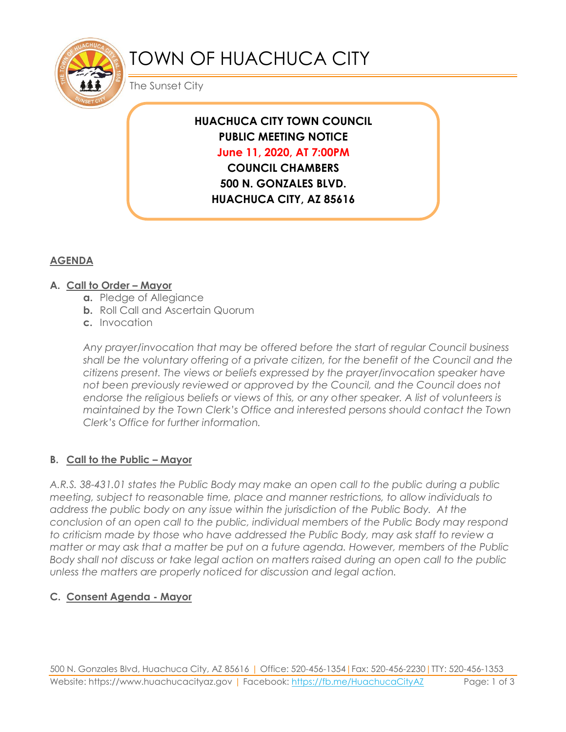

# TOWN OF HUACHUCA CITY

The Sunset City

# **HUACHUCA CITY TOWN COUNCIL PUBLIC MEETING NOTICE June 11, 2020, AT 7:00PM**

**COUNCIL CHAMBERS 500 N. GONZALES BLVD. HUACHUCA CITY, AZ 85616**

## **AGENDA**

#### **A. Call to Order – Mayor**

- **a.** Pledge of Allegiance
- **b.** Roll Call and Ascertain Quorum
- **c.** Invocation

*Any prayer/invocation that may be offered before the start of regular Council business shall be the voluntary offering of a private citizen, for the benefit of the Council and the citizens present. The views or beliefs expressed by the prayer/invocation speaker have not been previously reviewed or approved by the Council, and the Council does not endorse the religious beliefs or views of this, or any other speaker. A list of volunteers is maintained by the Town Clerk's Office and interested persons should contact the Town Clerk's Office for further information.*

## **B. Call to the Public – Mayor**

*A.R.S. 38-431.01 states the Public Body may make an open call to the public during a public meeting, subject to reasonable time, place and manner restrictions, to allow individuals to address the public body on any issue within the jurisdiction of the Public Body. At the conclusion of an open call to the public, individual members of the Public Body may respond to criticism made by those who have addressed the Public Body, may ask staff to review a matter or may ask that a matter be put on a future agenda. However, members of the Public Body shall not discuss or take legal action on matters raised during an open call to the public unless the matters are properly noticed for discussion and legal action.*

## **C. Consent Agenda - Mayor**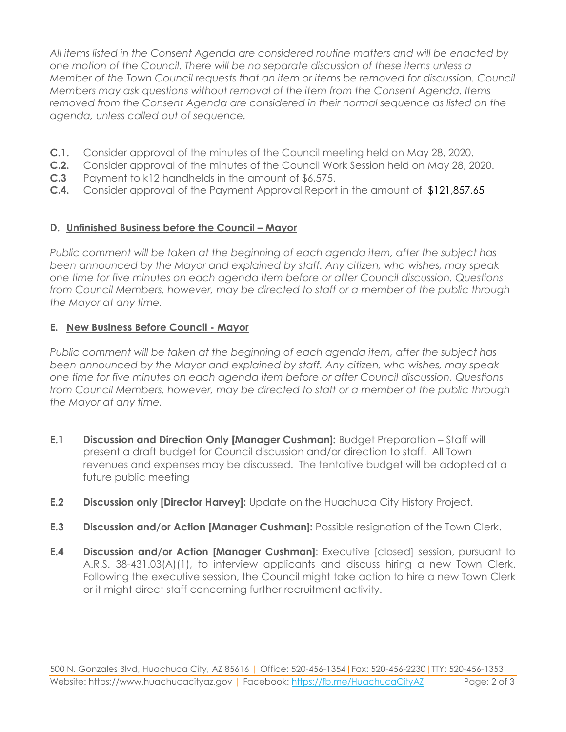*All items listed in the Consent Agenda are considered routine matters and will be enacted by one motion of the Council. There will be no separate discussion of these items unless a Member of the Town Council requests that an item or items be removed for discussion. Council Members may ask questions without removal of the item from the Consent Agenda. Items removed from the Consent Agenda are considered in their normal sequence as listed on the agenda, unless called out of sequence.*

- **C.1.** Consider approval of the minutes of the Council meeting held on May 28, 2020.
- **C.2.** Consider approval of the minutes of the Council Work Session held on May 28, 2020.
- **C.3** Payment to k12 handhelds in the amount of \$6,575.
- **C.4.** Consider approval of the Payment Approval Report in the amount of \$121,857.65

#### **D.** Unfinished Business before the Council – Mayor

*Public comment will be taken at the beginning of each agenda item, after the subject has been announced by the Mayor and explained by staff. Any citizen, who wishes, may speak one time for five minutes on each agenda item before or after Council discussion. Questions from Council Members, however, may be directed to staff or a member of the public through the Mayor at any time.*

#### **E. New Business Before Council - Mayor**

*Public comment will be taken at the beginning of each agenda item, after the subject has been announced by the Mayor and explained by staff. Any citizen, who wishes, may speak one time for five minutes on each agenda item before or after Council discussion. Questions from Council Members, however, may be directed to staff or a member of the public through the Mayor at any time.* 

- **E.1 Discussion and Direction Only [Manager Cushman]:** Budget Preparation Staff will present a draft budget for Council discussion and/or direction to staff. All Town revenues and expenses may be discussed. The tentative budget will be adopted at a future public meeting
- **E.2 Discussion only [Director Harvey]:** Update on the Huachuca City History Project.
- **E.3 Discussion and/or Action [Manager Cushman]:** Possible resignation of the Town Clerk.
- **E.4 Discussion and/or Action [Manager Cushman]**: Executive [closed] session, pursuant to A.R.S. 38-431.03(A)(1), to interview applicants and discuss hiring a new Town Clerk. Following the executive session, the Council might take action to hire a new Town Clerk or it might direct staff concerning further recruitment activity.